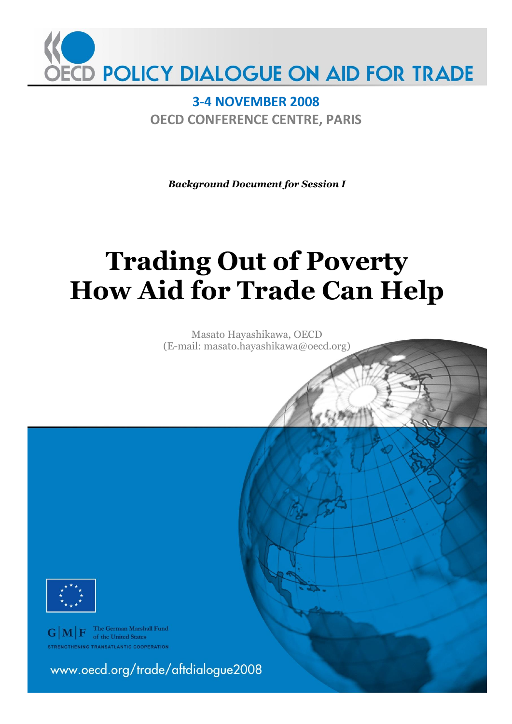

**3-4 NOVEMBER 2008 OECD CONFERENCE CENTRE, PARIS**

*Background Document for Session I*

# **Trading Out of Poverty How Aid for Trade Can Help**

Masato Hayashikawa, OECD (E-mail: masato.hayashikawa@oecd.org)



 $\mathbf{G}|\mathbf{M}|\mathbf{F}$  The German Marshall Fund **THENING TRANSATLANTIC COOPERATION** 

www.oecd.org/trade/aftdialogue2008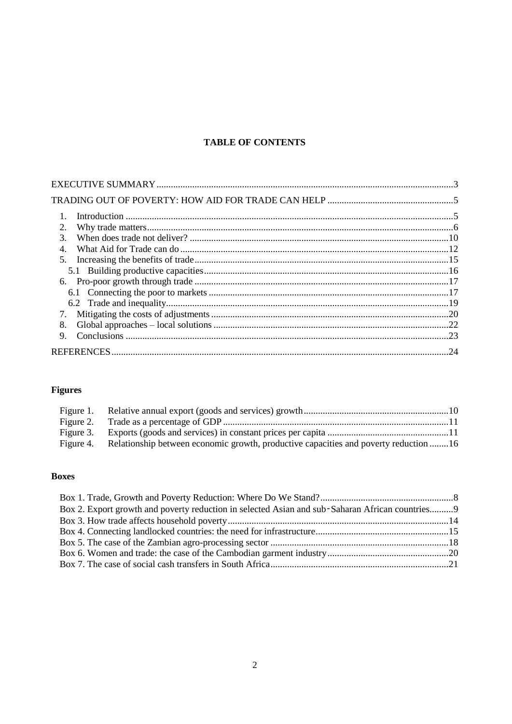# **TABLE OF CONTENTS**

| 1.               |  |
|------------------|--|
| 2.               |  |
| 3.               |  |
| $\overline{4}$ . |  |
| 5.               |  |
|                  |  |
|                  |  |
|                  |  |
|                  |  |
| 7.               |  |
| 8.               |  |
| $\mathbf{Q}$     |  |
|                  |  |
|                  |  |

# **Figures**

| Figure 4. Relationship between economic growth, productive capacities and poverty reduction 16 |  |
|------------------------------------------------------------------------------------------------|--|

# **Boxes**

| Box 2. Export growth and poverty reduction in selected Asian and sub-Saharan African countries9 |  |
|-------------------------------------------------------------------------------------------------|--|
|                                                                                                 |  |
|                                                                                                 |  |
|                                                                                                 |  |
|                                                                                                 |  |
|                                                                                                 |  |
|                                                                                                 |  |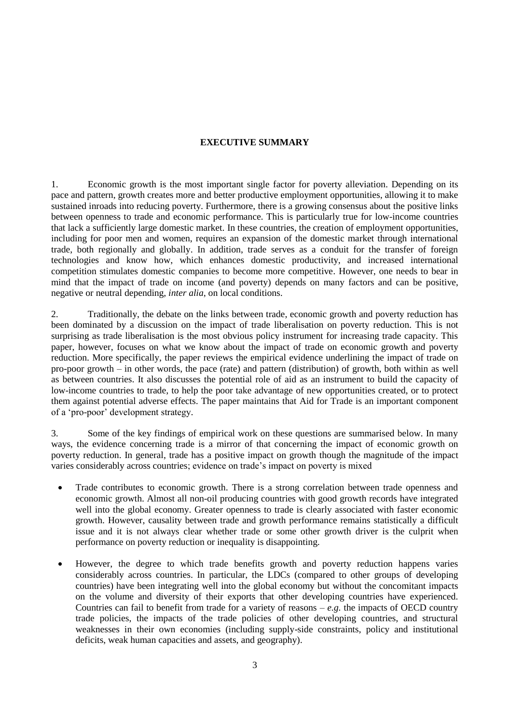# **EXECUTIVE SUMMARY**

1. Economic growth is the most important single factor for poverty alleviation. Depending on its pace and pattern, growth creates more and better productive employment opportunities, allowing it to make sustained inroads into reducing poverty. Furthermore, there is a growing consensus about the positive links between openness to trade and economic performance. This is particularly true for low-income countries that lack a sufficiently large domestic market. In these countries, the creation of employment opportunities, including for poor men and women, requires an expansion of the domestic market through international trade, both regionally and globally. In addition, trade serves as a conduit for the transfer of foreign technologies and know how, which enhances domestic productivity, and increased international competition stimulates domestic companies to become more competitive. However, one needs to bear in mind that the impact of trade on income (and poverty) depends on many factors and can be positive, negative or neutral depending, *inter alia*, on local conditions.

2. Traditionally, the debate on the links between trade, economic growth and poverty reduction has been dominated by a discussion on the impact of trade liberalisation on poverty reduction. This is not surprising as trade liberalisation is the most obvious policy instrument for increasing trade capacity. This paper, however, focuses on what we know about the impact of trade on economic growth and poverty reduction. More specifically, the paper reviews the empirical evidence underlining the impact of trade on pro-poor growth – in other words, the pace (rate) and pattern (distribution) of growth, both within as well as between countries. It also discusses the potential role of aid as an instrument to build the capacity of low-income countries to trade, to help the poor take advantage of new opportunities created, or to protect them against potential adverse effects. The paper maintains that Aid for Trade is an important component of a "pro-poor" development strategy.

3. Some of the key findings of empirical work on these questions are summarised below. In many ways, the evidence concerning trade is a mirror of that concerning the impact of economic growth on poverty reduction. In general, trade has a positive impact on growth though the magnitude of the impact varies considerably across countries; evidence on trade"s impact on poverty is mixed

- Trade contributes to economic growth. There is a strong correlation between trade openness and economic growth. Almost all non-oil producing countries with good growth records have integrated well into the global economy. Greater openness to trade is clearly associated with faster economic growth. However, causality between trade and growth performance remains statistically a difficult issue and it is not always clear whether trade or some other growth driver is the culprit when performance on poverty reduction or inequality is disappointing.
- However, the degree to which trade benefits growth and poverty reduction happens varies considerably across countries. In particular, the LDCs (compared to other groups of developing countries) have been integrating well into the global economy but without the concomitant impacts on the volume and diversity of their exports that other developing countries have experienced. Countries can fail to benefit from trade for a variety of reasons – *e.g.* the impacts of OECD country trade policies, the impacts of the trade policies of other developing countries, and structural weaknesses in their own economies (including supply-side constraints, policy and institutional deficits, weak human capacities and assets, and geography).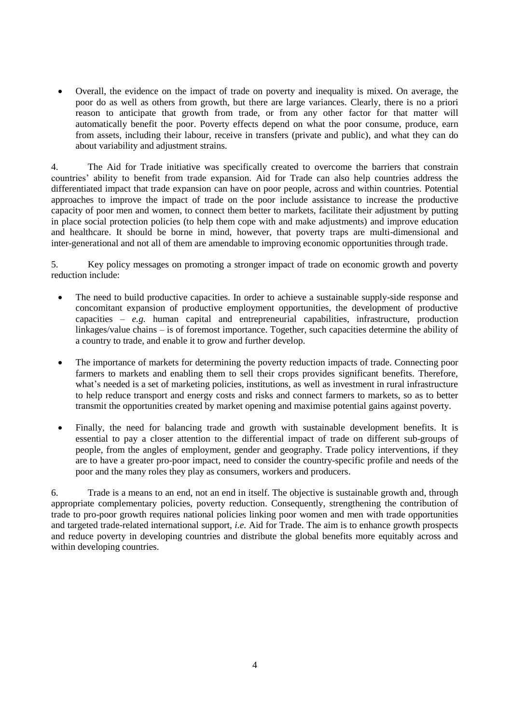Overall, the evidence on the impact of trade on poverty and inequality is mixed. On average, the poor do as well as others from growth, but there are large variances. Clearly, there is no a priori reason to anticipate that growth from trade, or from any other factor for that matter will automatically benefit the poor. Poverty effects depend on what the poor consume, produce, earn from assets, including their labour, receive in transfers (private and public), and what they can do about variability and adjustment strains.

4. The Aid for Trade initiative was specifically created to overcome the barriers that constrain countries" ability to benefit from trade expansion. Aid for Trade can also help countries address the differentiated impact that trade expansion can have on poor people, across and within countries. Potential approaches to improve the impact of trade on the poor include assistance to increase the productive capacity of poor men and women, to connect them better to markets, facilitate their adjustment by putting in place social protection policies (to help them cope with and make adjustments) and improve education and healthcare. It should be borne in mind, however, that poverty traps are multi-dimensional and inter-generational and not all of them are amendable to improving economic opportunities through trade.

5. Key policy messages on promoting a stronger impact of trade on economic growth and poverty reduction include:

- The need to build productive capacities. In order to achieve a sustainable supply-side response and concomitant expansion of productive employment opportunities, the development of productive capacities – *e.g.* human capital and entrepreneurial capabilities, infrastructure, production linkages/value chains – is of foremost importance. Together, such capacities determine the ability of a country to trade, and enable it to grow and further develop.
- The importance of markets for determining the poverty reduction impacts of trade. Connecting poor farmers to markets and enabling them to sell their crops provides significant benefits. Therefore, what's needed is a set of marketing policies, institutions, as well as investment in rural infrastructure to help reduce transport and energy costs and risks and connect farmers to markets, so as to better transmit the opportunities created by market opening and maximise potential gains against poverty.
- Finally, the need for balancing trade and growth with sustainable development benefits. It is essential to pay a closer attention to the differential impact of trade on different sub-groups of people, from the angles of employment, gender and geography. Trade policy interventions, if they are to have a greater pro-poor impact, need to consider the country-specific profile and needs of the poor and the many roles they play as consumers, workers and producers.

6. Trade is a means to an end, not an end in itself. The objective is sustainable growth and, through appropriate complementary policies, poverty reduction. Consequently, strengthening the contribution of trade to pro-poor growth requires national policies linking poor women and men with trade opportunities and targeted trade-related international support, *i.e.* Aid for Trade. The aim is to enhance growth prospects and reduce poverty in developing countries and distribute the global benefits more equitably across and within developing countries.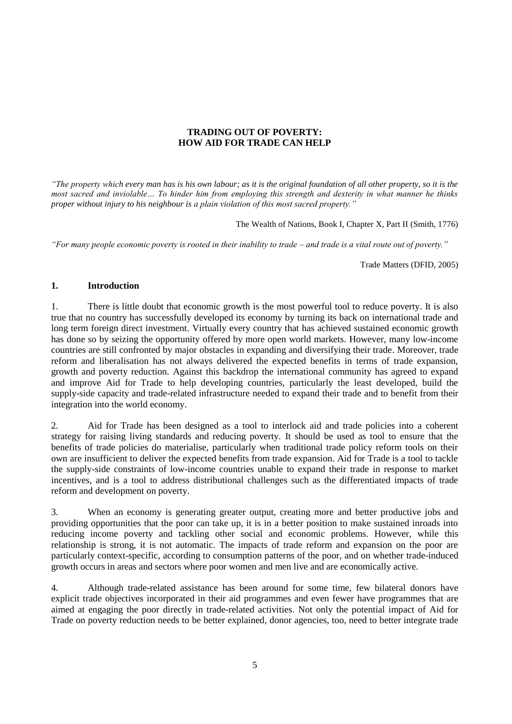# **TRADING OUT OF POVERTY: HOW AID FOR TRADE CAN HELP**

*"The property which every man has is his own labour; as it is the original foundation of all other property, so it is the most sacred and inviolable… To hinder him from employing this strength and dexterity in what manner he thinks proper without injury to his neighbour is a plain violation of this most sacred property."*

The Wealth of Nations, Book I, Chapter X, Part II (Smith, 1776)

*"For many people economic poverty is rooted in their inability to trade – and trade is a vital route out of poverty."*

Trade Matters (DFID, 2005)

# **1. Introduction**

1. There is little doubt that economic growth is the most powerful tool to reduce poverty. It is also true that no country has successfully developed its economy by turning its back on international trade and long term foreign direct investment. Virtually every country that has achieved sustained economic growth has done so by seizing the opportunity offered by more open world markets. However, many low-income countries are still confronted by major obstacles in expanding and diversifying their trade. Moreover, trade reform and liberalisation has not always delivered the expected benefits in terms of trade expansion, growth and poverty reduction. Against this backdrop the international community has agreed to expand and improve Aid for Trade to help developing countries, particularly the least developed, build the supply-side capacity and trade-related infrastructure needed to expand their trade and to benefit from their integration into the world economy.

2. Aid for Trade has been designed as a tool to interlock aid and trade policies into a coherent strategy for raising living standards and reducing poverty. It should be used as tool to ensure that the benefits of trade policies do materialise, particularly when traditional trade policy reform tools on their own are insufficient to deliver the expected benefits from trade expansion. Aid for Trade is a tool to tackle the supply-side constraints of low-income countries unable to expand their trade in response to market incentives, and is a tool to address distributional challenges such as the differentiated impacts of trade reform and development on poverty.

3. When an economy is generating greater output, creating more and better productive jobs and providing opportunities that the poor can take up, it is in a better position to make sustained inroads into reducing income poverty and tackling other social and economic problems. However, while this relationship is strong, it is not automatic. The impacts of trade reform and expansion on the poor are particularly context-specific, according to consumption patterns of the poor, and on whether trade-induced growth occurs in areas and sectors where poor women and men live and are economically active.

4. Although trade-related assistance has been around for some time, few bilateral donors have explicit trade objectives incorporated in their aid programmes and even fewer have programmes that are aimed at engaging the poor directly in trade-related activities. Not only the potential impact of Aid for Trade on poverty reduction needs to be better explained, donor agencies, too, need to better integrate trade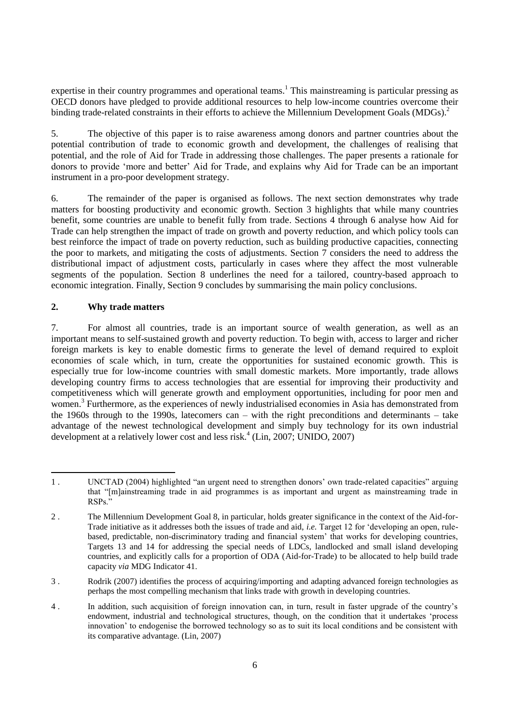expertise in their country programmes and operational teams.<sup>1</sup> This mainstreaming is particular pressing as OECD donors have pledged to provide additional resources to help low-income countries overcome their binding trade-related constraints in their efforts to achieve the Millennium Development Goals (MDGs).<sup>2</sup>

5. The objective of this paper is to raise awareness among donors and partner countries about the potential contribution of trade to economic growth and development, the challenges of realising that potential, and the role of Aid for Trade in addressing those challenges. The paper presents a rationale for donors to provide "more and better" Aid for Trade, and explains why Aid for Trade can be an important instrument in a pro-poor development strategy.

6. The remainder of the paper is organised as follows. The next section demonstrates why trade matters for boosting productivity and economic growth. Section 3 highlights that while many countries benefit, some countries are unable to benefit fully from trade. Sections 4 through 6 analyse how Aid for Trade can help strengthen the impact of trade on growth and poverty reduction, and which policy tools can best reinforce the impact of trade on poverty reduction, such as building productive capacities, connecting the poor to markets, and mitigating the costs of adjustments. Section 7 considers the need to address the distributional impact of adjustment costs, particularly in cases where they affect the most vulnerable segments of the population. Section 8 underlines the need for a tailored, country-based approach to economic integration. Finally, Section 9 concludes by summarising the main policy conclusions.

# **2. Why trade matters**

7. For almost all countries, trade is an important source of wealth generation, as well as an important means to self-sustained growth and poverty reduction. To begin with, access to larger and richer foreign markets is key to enable domestic firms to generate the level of demand required to exploit economies of scale which, in turn, create the opportunities for sustained economic growth. This is especially true for low-income countries with small domestic markets. More importantly, trade allows developing country firms to access technologies that are essential for improving their productivity and competitiveness which will generate growth and employment opportunities, including for poor men and women.<sup>3</sup> Furthermore, as the experiences of newly industrialised economies in Asia has demonstrated from the 1960s through to the 1990s, latecomers can – with the right preconditions and determinants – take advantage of the newest technological development and simply buy technology for its own industrial development at a relatively lower cost and less risk.<sup>4</sup> (Lin, 2007; UNIDO, 2007)

3 . Rodrik (2007) identifies the process of acquiring/importing and adapting advanced foreign technologies as perhaps the most compelling mechanism that links trade with growth in developing countries.

4 . In addition, such acquisition of foreign innovation can, in turn, result in faster upgrade of the country"s endowment, industrial and technological structures, though, on the condition that it undertakes "process innovation" to endogenise the borrowed technology so as to suit its local conditions and be consistent with its comparative advantage. (Lin, 2007)

l 1 . UNCTAD (2004) highlighted "an urgent need to strengthen donors" own trade-related capacities" arguing that "[m]ainstreaming trade in aid programmes is as important and urgent as mainstreaming trade in RSPs."

<sup>2</sup> . The Millennium Development Goal 8, in particular, holds greater significance in the context of the Aid-for-Trade initiative as it addresses both the issues of trade and aid, *i.e.* Target 12 for "developing an open, rulebased, predictable, non-discriminatory trading and financial system' that works for developing countries, Targets 13 and 14 for addressing the special needs of LDCs, landlocked and small island developing countries, and explicitly calls for a proportion of ODA (Aid-for-Trade) to be allocated to help build trade capacity *via* MDG Indicator 41.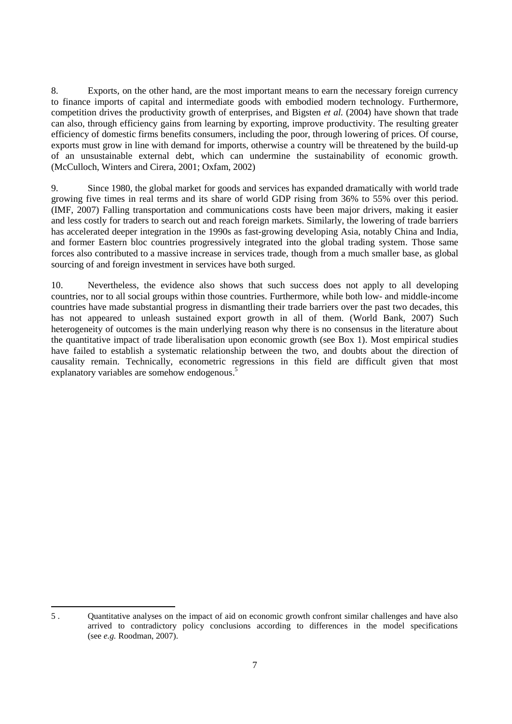8. Exports, on the other hand, are the most important means to earn the necessary foreign currency to finance imports of capital and intermediate goods with embodied modern technology. Furthermore, competition drives the productivity growth of enterprises, and Bigsten *et al.* (2004) have shown that trade can also, through efficiency gains from learning by exporting, improve productivity. The resulting greater efficiency of domestic firms benefits consumers, including the poor, through lowering of prices. Of course, exports must grow in line with demand for imports, otherwise a country will be threatened by the build-up of an unsustainable external debt, which can undermine the sustainability of economic growth. (McCulloch, Winters and Cirera, 2001; Oxfam, 2002)

9. Since 1980, the global market for goods and services has expanded dramatically with world trade growing five times in real terms and its share of world GDP rising from 36% to 55% over this period. (IMF, 2007) Falling transportation and communications costs have been major drivers, making it easier and less costly for traders to search out and reach foreign markets. Similarly, the lowering of trade barriers has accelerated deeper integration in the 1990s as fast-growing developing Asia, notably China and India, and former Eastern bloc countries progressively integrated into the global trading system. Those same forces also contributed to a massive increase in services trade, though from a much smaller base, as global sourcing of and foreign investment in services have both surged.

10. Nevertheless, the evidence also shows that such success does not apply to all developing countries, nor to all social groups within those countries. Furthermore, while both low- and middle-income countries have made substantial progress in dismantling their trade barriers over the past two decades, this has not appeared to unleash sustained export growth in all of them. (World Bank, 2007) Such heterogeneity of outcomes is the main underlying reason why there is no consensus in the literature about the quantitative impact of trade liberalisation upon economic growth (see Box 1). Most empirical studies have failed to establish a systematic relationship between the two, and doubts about the direction of causality remain. Technically, econometric regressions in this field are difficult given that most explanatory variables are somehow endogenous.<sup>5</sup>

l 5 . Quantitative analyses on the impact of aid on economic growth confront similar challenges and have also arrived to contradictory policy conclusions according to differences in the model specifications (see *e.g.* Roodman, 2007).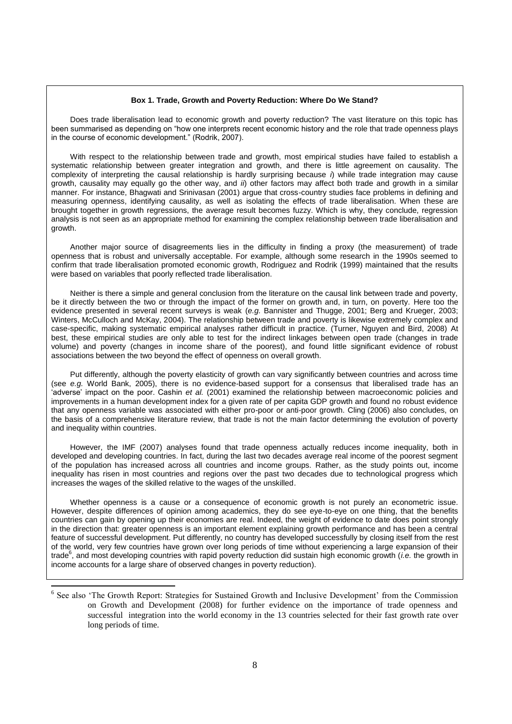#### **Box 1. Trade, Growth and Poverty Reduction: Where Do We Stand?**

Does trade liberalisation lead to economic growth and poverty reduction? The vast literature on this topic has been summarised as depending on "how one interprets recent economic history and the role that trade openness plays in the course of economic development." (Rodrik, 2007).

With respect to the relationship between trade and growth, most empirical studies have failed to establish a systematic relationship between greater integration and growth, and there is little agreement on causality. The complexity of interpreting the causal relationship is hardly surprising because *i*) while trade integration may cause growth, causality may equally go the other way, and *ii*) other factors may affect both trade and growth in a similar manner. For instance, Bhagwati and Srinivasan (2001) argue that cross-country studies face problems in defining and measuring openness, identifying causality, as well as isolating the effects of trade liberalisation. When these are brought together in growth regressions, the average result becomes fuzzy. Which is why, they conclude, regression analysis is not seen as an appropriate method for examining the complex relationship between trade liberalisation and growth.

Another major source of disagreements lies in the difficulty in finding a proxy (the measurement) of trade openness that is robust and universally acceptable. For example, although some research in the 1990s seemed to confirm that trade liberalisation promoted economic growth, Rodriguez and Rodrik (1999) maintained that the results were based on variables that poorly reflected trade liberalisation.

Neither is there a simple and general conclusion from the literature on the causal link between trade and poverty, be it directly between the two or through the impact of the former on growth and, in turn, on poverty. Here too the evidence presented in several recent surveys is weak (*e.g.* Bannister and Thugge, 2001; Berg and Krueger, 2003; Winters, McCulloch and McKay, 2004). The relationship between trade and poverty is likewise extremely complex and case-specific, making systematic empirical analyses rather difficult in practice. (Turner, Nguyen and Bird, 2008) At best, these empirical studies are only able to test for the indirect linkages between open trade (changes in trade volume) and poverty (changes in income share of the poorest), and found little significant evidence of robust associations between the two beyond the effect of openness on overall growth.

Put differently, although the poverty elasticity of growth can vary significantly between countries and across time (see *e.g.* World Bank, 2005), there is no evidence-based support for a consensus that liberalised trade has an "adverse" impact on the poor. Cashin *et al.* (2001) examined the relationship between macroeconomic policies and improvements in a human development index for a given rate of per capita GDP growth and found no robust evidence that any openness variable was associated with either pro-poor or anti-poor growth. Cling (2006) also concludes, on the basis of a comprehensive literature review, that trade is not the main factor determining the evolution of poverty and inequality within countries.

However, the IMF (2007) analyses found that trade openness actually reduces income inequality, both in developed and developing countries. In fact, during the last two decades average real income of the poorest segment of the population has increased across all countries and income groups. Rather, as the study points out, income inequality has risen in most countries and regions over the past two decades due to technological progress which increases the wages of the skilled relative to the wages of the unskilled.

Whether openness is a cause or a consequence of economic growth is not purely an econometric issue. However, despite differences of opinion among academics, they do see eye-to-eye on one thing, that the benefits countries can gain by opening up their economies are real. Indeed, the weight of evidence to date does point strongly in the direction that: greater openness is an important element explaining growth performance and has been a central feature of successful development. Put differently, no country has developed successfully by closing itself from the rest of the world, very few countries have grown over long periods of time without experiencing a large expansion of their trade<sup>6</sup>, and most developing countries with rapid poverty reduction did sustain high economic growth (*i.e.* the growth in income accounts for a large share of observed changes in poverty reduction).

 $\overline{\phantom{a}}$ 

<sup>&</sup>lt;sup>6</sup> See also 'The Growth Report: Strategies for Sustained Growth and Inclusive Development' from the Commission on Growth and Development (2008) for further evidence on the importance of trade openness and successful integration into the world economy in the 13 countries selected for their fast growth rate over long periods of time.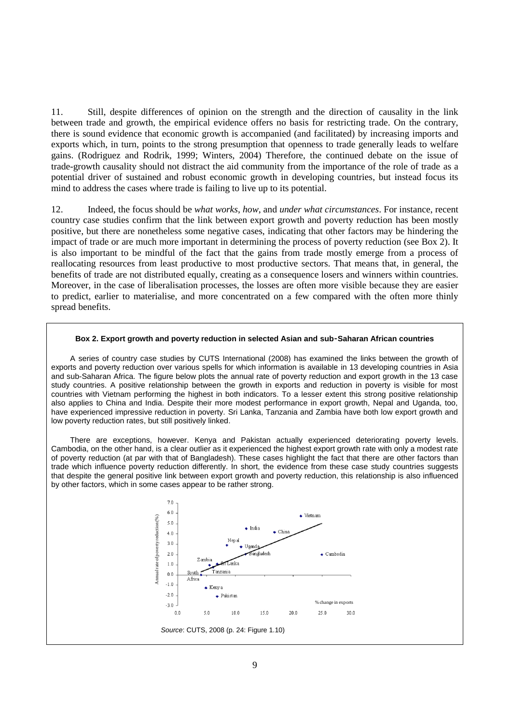11. Still, despite differences of opinion on the strength and the direction of causality in the link between trade and growth, the empirical evidence offers no basis for restricting trade. On the contrary, there is sound evidence that economic growth is accompanied (and facilitated) by increasing imports and exports which, in turn, points to the strong presumption that openness to trade generally leads to welfare gains. (Rodriguez and Rodrik, 1999; Winters, 2004) Therefore, the continued debate on the issue of trade-growth causality should not distract the aid community from the importance of the role of trade as a potential driver of sustained and robust economic growth in developing countries, but instead focus its mind to address the cases where trade is failing to live up to its potential.

12. Indeed, the focus should be *what works*, *how*, and *under what circumstances*. For instance, recent country case studies confirm that the link between export growth and poverty reduction has been mostly positive, but there are nonetheless some negative cases, indicating that other factors may be hindering the impact of trade or are much more important in determining the process of poverty reduction (see Box 2). It is also important to be mindful of the fact that the gains from trade mostly emerge from a process of reallocating resources from least productive to most productive sectors. That means that, in general, the benefits of trade are not distributed equally, creating as a consequence losers and winners within countries. Moreover, in the case of liberalisation processes, the losses are often more visible because they are easier to predict, earlier to materialise, and more concentrated on a few compared with the often more thinly spread benefits.

#### **Box 2. Export growth and poverty reduction in selected Asian and sub**‑**Saharan African countries**

A series of country case studies by CUTS International (2008) has examined the links between the growth of exports and poverty reduction over various spells for which information is available in 13 developing countries in Asia and sub-Saharan Africa. The figure below plots the annual rate of poverty reduction and export growth in the 13 case study countries. A positive relationship between the growth in exports and reduction in poverty is visible for most countries with Vietnam performing the highest in both indicators. To a lesser extent this strong positive relationship also applies to China and India. Despite their more modest performance in export growth, Nepal and Uganda, too, have experienced impressive reduction in poverty. Sri Lanka, Tanzania and Zambia have both low export growth and low poverty reduction rates, but still positively linked.

There are exceptions, however. Kenya and Pakistan actually experienced deteriorating poverty levels. Cambodia, on the other hand, is a clear outlier as it experienced the highest export growth rate with only a modest rate of poverty reduction (at par with that of Bangladesh). These cases highlight the fact that there are other factors than trade which influence poverty reduction differently. In short, the evidence from these case study countries suggests that despite the general positive link between export growth and poverty reduction, this relationship is also influenced by other factors, which in some cases appear to be rather strong.

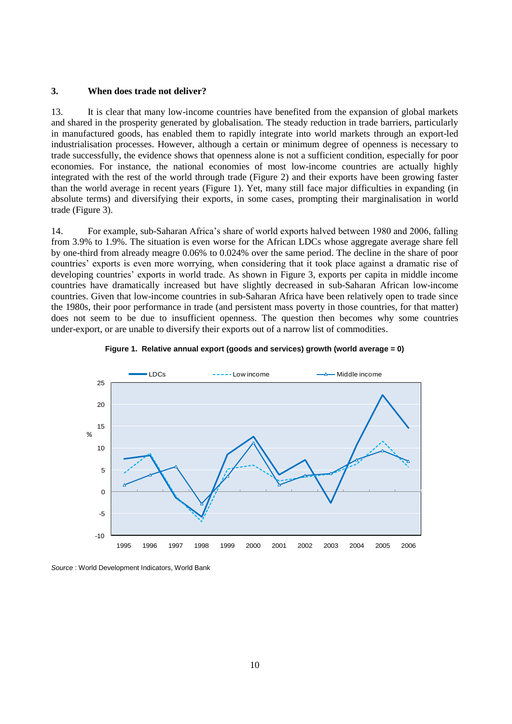## **3. When does trade not deliver?**

13. It is clear that many low-income countries have benefited from the expansion of global markets and shared in the prosperity generated by globalisation. The steady reduction in trade barriers, particularly in manufactured goods, has enabled them to rapidly integrate into world markets through an export-led industrialisation processes. However, although a certain or minimum degree of openness is necessary to trade successfully, the evidence shows that openness alone is not a sufficient condition, especially for poor economies. For instance, the national economies of most low-income countries are actually highly integrated with the rest of the world through trade (Figure 2) and their exports have been growing faster than the world average in recent years (Figure 1). Yet, many still face major difficulties in expanding (in absolute terms) and diversifying their exports, in some cases, prompting their marginalisation in world trade (Figure 3).

14. For example, sub-Saharan Africa"s share of world exports halved between 1980 and 2006, falling from 3.9% to 1.9%. The situation is even worse for the African LDCs whose aggregate average share fell by one-third from already meagre 0.06% to 0.024% over the same period. The decline in the share of poor countries" exports is even more worrying, when considering that it took place against a dramatic rise of developing countries' exports in world trade. As shown in Figure 3, exports per capita in middle income countries have dramatically increased but have slightly decreased in sub-Saharan African low-income countries. Given that low-income countries in sub-Saharan Africa have been relatively open to trade since the 1980s, their poor performance in trade (and persistent mass poverty in those countries, for that matter) does not seem to be due to insufficient openness. The question then becomes why some countries under-export, or are unable to diversify their exports out of a narrow list of commodities.





*Source* : World Development Indicators, World Bank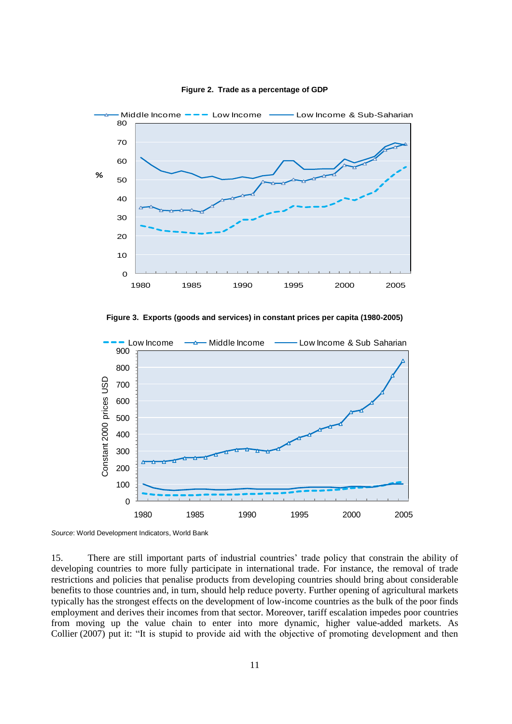

**Figure 2. Trade as a percentage of GDP**

**Figure 3. Exports (goods and services) in constant prices per capita (1980-2005)**



*Source*: World Development Indicators, World Bank

15. There are still important parts of industrial countries" trade policy that constrain the ability of developing countries to more fully participate in international trade. For instance, the removal of trade restrictions and policies that penalise products from developing countries should bring about considerable benefits to those countries and, in turn, should help reduce poverty. Further opening of agricultural markets typically has the strongest effects on the development of low-income countries as the bulk of the poor finds employment and derives their incomes from that sector. Moreover, tariff escalation impedes poor countries from moving up the value chain to enter into more dynamic, higher value-added markets. As Collier (2007) put it: "It is stupid to provide aid with the objective of promoting development and then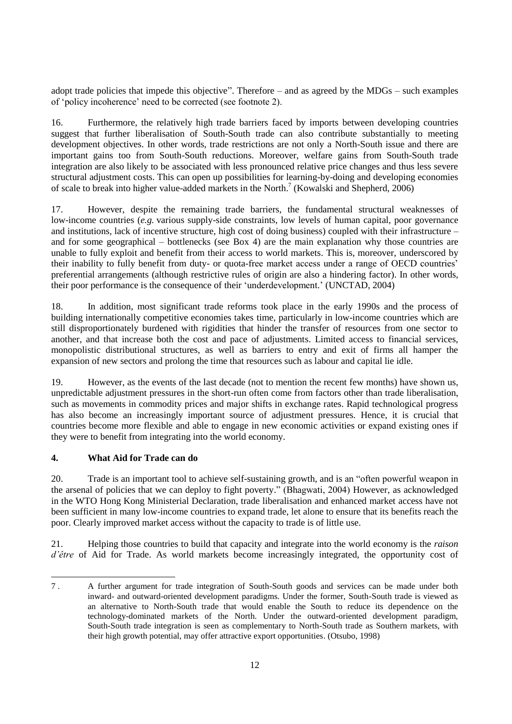adopt trade policies that impede this objective". Therefore – and as agreed by the MDGs – such examples of "policy incoherence" need to be corrected (see footnote 2).

16. Furthermore, the relatively high trade barriers faced by imports between developing countries suggest that further liberalisation of South-South trade can also contribute substantially to meeting development objectives. In other words, trade restrictions are not only a North-South issue and there are important gains too from South-South reductions. Moreover, welfare gains from South-South trade integration are also likely to be associated with less pronounced relative price changes and thus less severe structural adjustment costs. This can open up possibilities for learning-by-doing and developing economies of scale to break into higher value-added markets in the North. 7 (Kowalski and Shepherd, 2006)

17. However, despite the remaining trade barriers, the fundamental structural weaknesses of low-income countries (*e.g.* various supply-side constraints, low levels of human capital, poor governance and institutions, lack of incentive structure, high cost of doing business) coupled with their infrastructure – and for some geographical – bottlenecks (see Box 4) are the main explanation why those countries are unable to fully exploit and benefit from their access to world markets. This is, moreover, underscored by their inability to fully benefit from duty- or quota-free market access under a range of OECD countries" preferential arrangements (although restrictive rules of origin are also a hindering factor). In other words, their poor performance is the consequence of their "underdevelopment." (UNCTAD, 2004)

18. In addition, most significant trade reforms took place in the early 1990s and the process of building internationally competitive economies takes time, particularly in low-income countries which are still disproportionately burdened with rigidities that hinder the transfer of resources from one sector to another, and that increase both the cost and pace of adjustments. Limited access to financial services, monopolistic distributional structures, as well as barriers to entry and exit of firms all hamper the expansion of new sectors and prolong the time that resources such as labour and capital lie idle.

19. However, as the events of the last decade (not to mention the recent few months) have shown us, unpredictable adjustment pressures in the short-run often come from factors other than trade liberalisation, such as movements in commodity prices and major shifts in exchange rates. Rapid technological progress has also become an increasingly important source of adjustment pressures. Hence, it is crucial that countries become more flexible and able to engage in new economic activities or expand existing ones if they were to benefit from integrating into the world economy.

# **4. What Aid for Trade can do**

20. Trade is an important tool to achieve self-sustaining growth, and is an "often powerful weapon in the arsenal of policies that we can deploy to fight poverty." (Bhagwati, 2004) However, as acknowledged in the WTO Hong Kong Ministerial Declaration, trade liberalisation and enhanced market access have not been sufficient in many low-income countries to expand trade, let alone to ensure that its benefits reach the poor. Clearly improved market access without the capacity to trade is of little use.

21. Helping those countries to build that capacity and integrate into the world economy is the *raison d'être* of Aid for Trade. As world markets become increasingly integrated, the opportunity cost of

l 7 . A further argument for trade integration of South-South goods and services can be made under both inward- and outward-oriented development paradigms. Under the former, South-South trade is viewed as an alternative to North-South trade that would enable the South to reduce its dependence on the technology-dominated markets of the North. Under the outward-oriented development paradigm, South-South trade integration is seen as complementary to North-South trade as Southern markets, with their high growth potential, may offer attractive export opportunities. (Otsubo, 1998)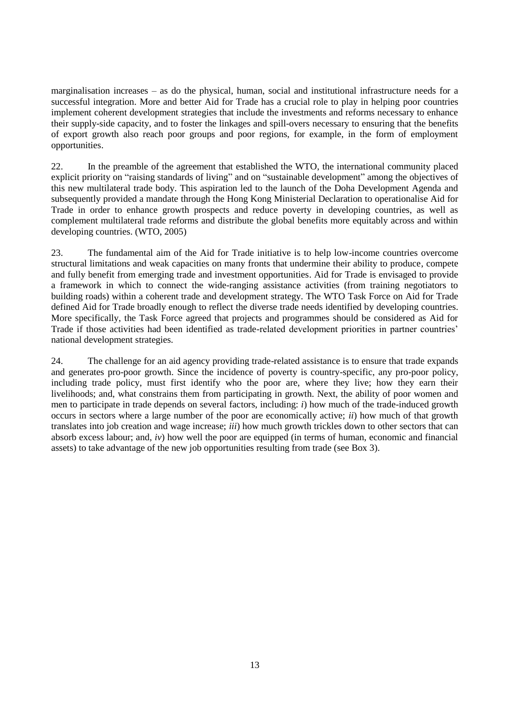marginalisation increases – as do the physical, human, social and institutional infrastructure needs for a successful integration. More and better Aid for Trade has a crucial role to play in helping poor countries implement coherent development strategies that include the investments and reforms necessary to enhance their supply-side capacity, and to foster the linkages and spill-overs necessary to ensuring that the benefits of export growth also reach poor groups and poor regions, for example, in the form of employment opportunities.

22. In the preamble of the agreement that established the WTO, the international community placed explicit priority on "raising standards of living" and on "sustainable development" among the objectives of this new multilateral trade body. This aspiration led to the launch of the Doha Development Agenda and subsequently provided a mandate through the Hong Kong Ministerial Declaration to operationalise Aid for Trade in order to enhance growth prospects and reduce poverty in developing countries, as well as complement multilateral trade reforms and distribute the global benefits more equitably across and within developing countries. (WTO, 2005)

23. The fundamental aim of the Aid for Trade initiative is to help low-income countries overcome structural limitations and weak capacities on many fronts that undermine their ability to produce, compete and fully benefit from emerging trade and investment opportunities. Aid for Trade is envisaged to provide a framework in which to connect the wide-ranging assistance activities (from training negotiators to building roads) within a coherent trade and development strategy. The WTO Task Force on Aid for Trade defined Aid for Trade broadly enough to reflect the diverse trade needs identified by developing countries. More specifically, the Task Force agreed that projects and programmes should be considered as Aid for Trade if those activities had been identified as trade-related development priorities in partner countries" national development strategies.

24. The challenge for an aid agency providing trade-related assistance is to ensure that trade expands and generates pro-poor growth. Since the incidence of poverty is country-specific, any pro-poor policy, including trade policy, must first identify who the poor are, where they live; how they earn their livelihoods; and, what constrains them from participating in growth. Next, the ability of poor women and men to participate in trade depends on several factors, including: *i*) how much of the trade-induced growth occurs in sectors where a large number of the poor are economically active; *ii*) how much of that growth translates into job creation and wage increase; *iii*) how much growth trickles down to other sectors that can absorb excess labour; and, *iv*) how well the poor are equipped (in terms of human, economic and financial assets) to take advantage of the new job opportunities resulting from trade (see Box 3).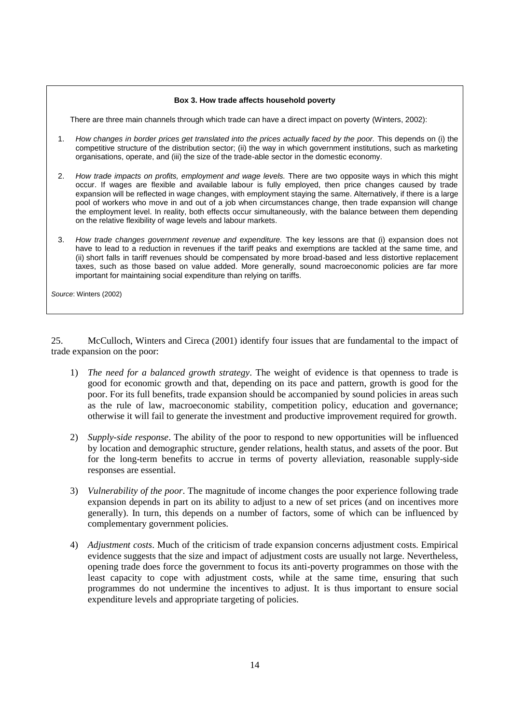# **Box 3. How trade affects household poverty**

There are three main channels through which trade can have a direct impact on poverty (Winters, 2002):

- 1. *How changes in border prices get translated into the prices actually faced by the poor.* This depends on (i) the competitive structure of the distribution sector; (ii) the way in which government institutions, such as marketing organisations, operate, and (iii) the size of the trade-able sector in the domestic economy.
- 2. *How trade impacts on profits, employment and wage levels.* There are two opposite ways in which this might occur. If wages are flexible and available labour is fully employed, then price changes caused by trade expansion will be reflected in wage changes, with employment staying the same. Alternatively, if there is a large pool of workers who move in and out of a job when circumstances change, then trade expansion will change the employment level. In reality, both effects occur simultaneously, with the balance between them depending on the relative flexibility of wage levels and labour markets.
- 3. *How trade changes government revenue and expenditure.* The key lessons are that (i) expansion does not have to lead to a reduction in revenues if the tariff peaks and exemptions are tackled at the same time, and (ii) short falls in tariff revenues should be compensated by more broad-based and less distortive replacement taxes, such as those based on value added. More generally, sound macroeconomic policies are far more important for maintaining social expenditure than relying on tariffs.

*Source*: Winters (2002)

25. McCulloch, Winters and Cireca (2001) identify four issues that are fundamental to the impact of trade expansion on the poor:

- 1) *The need for a balanced growth strategy*. The weight of evidence is that openness to trade is good for economic growth and that, depending on its pace and pattern, growth is good for the poor. For its full benefits, trade expansion should be accompanied by sound policies in areas such as the rule of law, macroeconomic stability, competition policy, education and governance; otherwise it will fail to generate the investment and productive improvement required for growth.
- 2) *Supply-side response*. The ability of the poor to respond to new opportunities will be influenced by location and demographic structure, gender relations, health status, and assets of the poor. But for the long-term benefits to accrue in terms of poverty alleviation, reasonable supply-side responses are essential.
- 3) *Vulnerability of the poor*. The magnitude of income changes the poor experience following trade expansion depends in part on its ability to adjust to a new of set prices (and on incentives more generally). In turn, this depends on a number of factors, some of which can be influenced by complementary government policies.
- 4) *Adjustment costs*. Much of the criticism of trade expansion concerns adjustment costs. Empirical evidence suggests that the size and impact of adjustment costs are usually not large. Nevertheless, opening trade does force the government to focus its anti-poverty programmes on those with the least capacity to cope with adjustment costs, while at the same time, ensuring that such programmes do not undermine the incentives to adjust. It is thus important to ensure social expenditure levels and appropriate targeting of policies.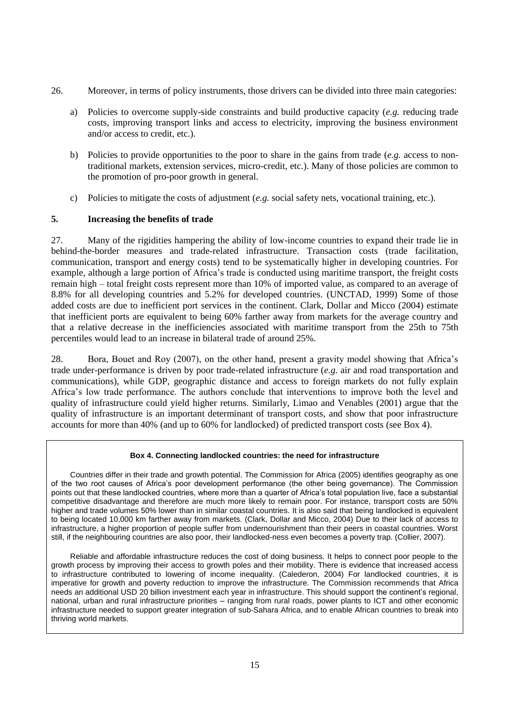- 26. Moreover, in terms of policy instruments, those drivers can be divided into three main categories:
	- a) Policies to overcome supply-side constraints and build productive capacity (*e.g.* reducing trade costs, improving transport links and access to electricity, improving the business environment and/or access to credit, etc.).
	- b) Policies to provide opportunities to the poor to share in the gains from trade (*e.g.* access to nontraditional markets, extension services, micro-credit, etc.). Many of those policies are common to the promotion of pro-poor growth in general.
	- c) Policies to mitigate the costs of adjustment (*e.g.* social safety nets, vocational training, etc.).

# **5. Increasing the benefits of trade**

27. Many of the rigidities hampering the ability of low-income countries to expand their trade lie in behind-the-border measures and trade-related infrastructure. Transaction costs (trade facilitation, communication, transport and energy costs) tend to be systematically higher in developing countries. For example, although a large portion of Africa"s trade is conducted using maritime transport, the freight costs remain high – total freight costs represent more than 10% of imported value, as compared to an average of 8.8% for all developing countries and 5.2% for developed countries. (UNCTAD, 1999) Some of those added costs are due to inefficient port services in the continent. Clark, Dollar and Micco (2004) estimate that inefficient ports are equivalent to being 60% farther away from markets for the average country and that a relative decrease in the inefficiencies associated with maritime transport from the 25th to 75th percentiles would lead to an increase in bilateral trade of around 25%.

28. Bora, Bouet and Roy (2007), on the other hand, present a gravity model showing that Africa"s trade under-performance is driven by poor trade-related infrastructure (*e.g.* air and road transportation and communications), while GDP, geographic distance and access to foreign markets do not fully explain Africa"s low trade performance. The authors conclude that interventions to improve both the level and quality of infrastructure could yield higher returns. Similarly, Limao and Venables (2001) argue that the quality of infrastructure is an important determinant of transport costs, and show that poor infrastructure accounts for more than 40% (and up to 60% for landlocked) of predicted transport costs (see Box 4).

### **Box 4. Connecting landlocked countries: the need for infrastructure**

Countries differ in their trade and growth potential. The Commission for Africa (2005) identifies geography as one of the two root causes of Africa"s poor development performance (the other being governance). The Commission points out that these landlocked countries, where more than a quarter of Africa"s total population live, face a substantial competitive disadvantage and therefore are much more likely to remain poor. For instance, transport costs are 50% higher and trade volumes 50% lower than in similar coastal countries. It is also said that being landlocked is equivalent to being located 10,000 km farther away from markets. (Clark, Dollar and Micco, 2004) Due to their lack of access to infrastructure, a higher proportion of people suffer from undernourishment than their peers in coastal countries. Worst still, if the neighbouring countries are also poor, their landlocked-ness even becomes a poverty trap. (Collier, 2007).

Reliable and affordable infrastructure reduces the cost of doing business. It helps to connect poor people to the growth process by improving their access to growth poles and their mobility. There is evidence that increased access to infrastructure contributed to lowering of income inequality. (Calederon, 2004) For landlocked countries, it is imperative for growth and poverty reduction to improve the infrastructure. The Commission recommends that Africa needs an additional USD 20 billion investment each year in infrastructure. This should support the continent"s regional, national, urban and rural infrastructure priorities – ranging from rural roads, power plants to ICT and other economic infrastructure needed to support greater integration of sub-Sahara Africa, and to enable African countries to break into thriving world markets.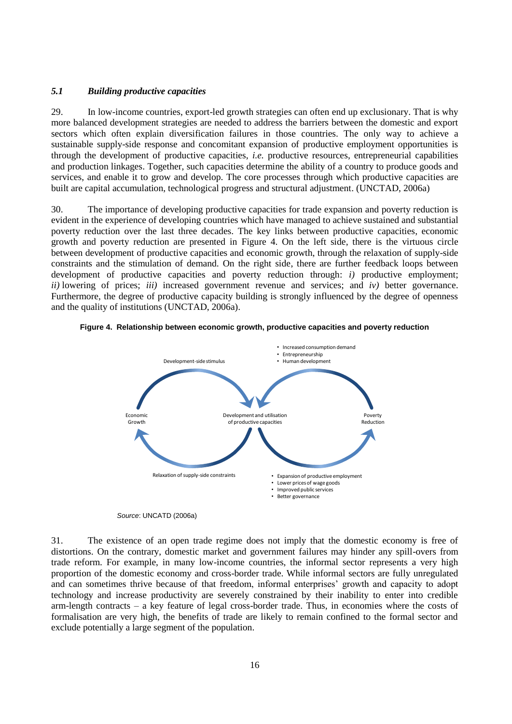# *5.1 Building productive capacities*

29. In low-income countries, export-led growth strategies can often end up exclusionary. That is why more balanced development strategies are needed to address the barriers between the domestic and export sectors which often explain diversification failures in those countries. The only way to achieve a sustainable supply-side response and concomitant expansion of productive employment opportunities is through the development of productive capacities, *i.e.* productive resources, entrepreneurial capabilities and production linkages. Together, such capacities determine the ability of a country to produce goods and services, and enable it to grow and develop. The core processes through which productive capacities are built are capital accumulation, technological progress and structural adjustment. (UNCTAD, 2006a)

30. The importance of developing productive capacities for trade expansion and poverty reduction is evident in the experience of developing countries which have managed to achieve sustained and substantial poverty reduction over the last three decades. The key links between productive capacities, economic growth and poverty reduction are presented in Figure 4. On the left side, there is the virtuous circle between development of productive capacities and economic growth, through the relaxation of supply-side constraints and the stimulation of demand. On the right side, there are further feedback loops between development of productive capacities and poverty reduction through: *i)* productive employment; *ii)* lowering of prices; *iii)* increased government revenue and services; and *iv)* better governance. Furthermore, the degree of productive capacity building is strongly influenced by the degree of openness and the quality of institutions (UNCTAD, 2006a).







31. The existence of an open trade regime does not imply that the domestic economy is free of distortions. On the contrary, domestic market and government failures may hinder any spill-overs from trade reform. For example, in many low-income countries, the informal sector represents a very high proportion of the domestic economy and cross-border trade. While informal sectors are fully unregulated and can sometimes thrive because of that freedom, informal enterprises' growth and capacity to adopt technology and increase productivity are severely constrained by their inability to enter into credible arm-length contracts – a key feature of legal cross-border trade. Thus, in economies where the costs of formalisation are very high, the benefits of trade are likely to remain confined to the formal sector and exclude potentially a large segment of the population.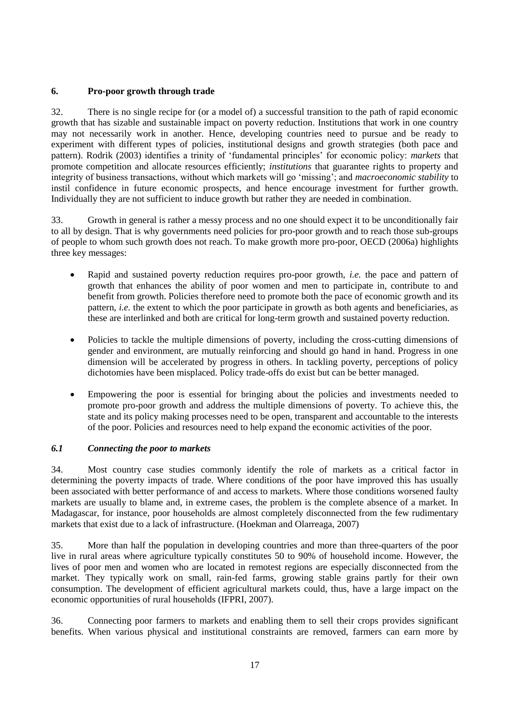# **6. Pro-poor growth through trade**

32. There is no single recipe for (or a model of) a successful transition to the path of rapid economic growth that has sizable and sustainable impact on poverty reduction. Institutions that work in one country may not necessarily work in another. Hence, developing countries need to pursue and be ready to experiment with different types of policies, institutional designs and growth strategies (both pace and pattern). Rodrik (2003) identifies a trinity of "fundamental principles" for economic policy: *markets* that promote competition and allocate resources efficiently; *institutions* that guarantee rights to property and integrity of business transactions, without which markets will go "missing"; and *macroeconomic stability* to instil confidence in future economic prospects, and hence encourage investment for further growth. Individually they are not sufficient to induce growth but rather they are needed in combination.

33. Growth in general is rather a messy process and no one should expect it to be unconditionally fair to all by design. That is why governments need policies for pro-poor growth and to reach those sub-groups of people to whom such growth does not reach. To make growth more pro-poor, OECD (2006a) highlights three key messages:

- Rapid and sustained poverty reduction requires pro-poor growth, *i.e.* the pace and pattern of growth that enhances the ability of poor women and men to participate in, contribute to and benefit from growth. Policies therefore need to promote both the pace of economic growth and its pattern, *i.e.* the extent to which the poor participate in growth as both agents and beneficiaries, as these are interlinked and both are critical for long-term growth and sustained poverty reduction.
- Policies to tackle the multiple dimensions of poverty, including the cross-cutting dimensions of gender and environment, are mutually reinforcing and should go hand in hand. Progress in one dimension will be accelerated by progress in others. In tackling poverty, perceptions of policy dichotomies have been misplaced. Policy trade-offs do exist but can be better managed.
- Empowering the poor is essential for bringing about the policies and investments needed to promote pro-poor growth and address the multiple dimensions of poverty. To achieve this, the state and its policy making processes need to be open, transparent and accountable to the interests of the poor. Policies and resources need to help expand the economic activities of the poor.

# *6.1 Connecting the poor to markets*

34. Most country case studies commonly identify the role of markets as a critical factor in determining the poverty impacts of trade. Where conditions of the poor have improved this has usually been associated with better performance of and access to markets. Where those conditions worsened faulty markets are usually to blame and, in extreme cases, the problem is the complete absence of a market. In Madagascar, for instance, poor households are almost completely disconnected from the few rudimentary markets that exist due to a lack of infrastructure. (Hoekman and Olarreaga, 2007)

35. More than half the population in developing countries and more than three-quarters of the poor live in rural areas where agriculture typically constitutes 50 to 90% of household income. However, the lives of poor men and women who are located in remotest regions are especially disconnected from the market. They typically work on small, rain-fed farms, growing stable grains partly for their own consumption. The development of efficient agricultural markets could, thus, have a large impact on the economic opportunities of rural households (IFPRI, 2007).

36. Connecting poor farmers to markets and enabling them to sell their crops provides significant benefits. When various physical and institutional constraints are removed, farmers can earn more by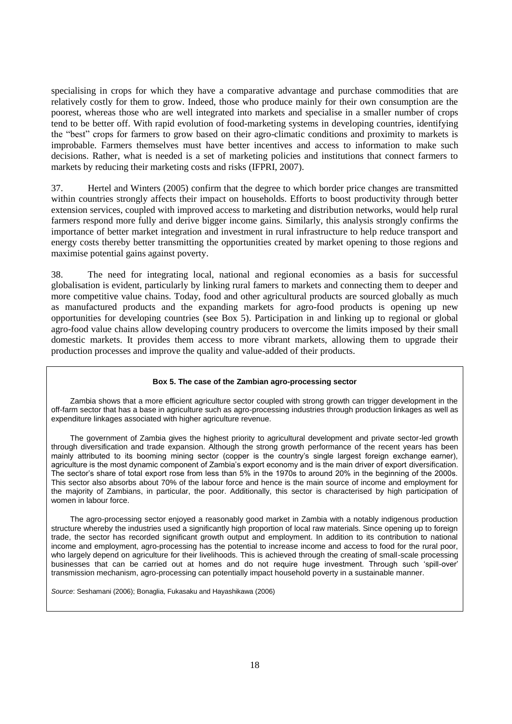specialising in crops for which they have a comparative advantage and purchase commodities that are relatively costly for them to grow. Indeed, those who produce mainly for their own consumption are the poorest, whereas those who are well integrated into markets and specialise in a smaller number of crops tend to be better off. With rapid evolution of food-marketing systems in developing countries, identifying the "best" crops for farmers to grow based on their agro-climatic conditions and proximity to markets is improbable. Farmers themselves must have better incentives and access to information to make such decisions. Rather, what is needed is a set of marketing policies and institutions that connect farmers to markets by reducing their marketing costs and risks (IFPRI, 2007).

37. Hertel and Winters (2005) confirm that the degree to which border price changes are transmitted within countries strongly affects their impact on households. Efforts to boost productivity through better extension services, coupled with improved access to marketing and distribution networks, would help rural farmers respond more fully and derive bigger income gains. Similarly, this analysis strongly confirms the importance of better market integration and investment in rural infrastructure to help reduce transport and energy costs thereby better transmitting the opportunities created by market opening to those regions and maximise potential gains against poverty.

38. The need for integrating local, national and regional economies as a basis for successful globalisation is evident, particularly by linking rural famers to markets and connecting them to deeper and more competitive value chains. Today, food and other agricultural products are sourced globally as much as manufactured products and the expanding markets for agro-food products is opening up new opportunities for developing countries (see Box 5). Participation in and linking up to regional or global agro-food value chains allow developing country producers to overcome the limits imposed by their small domestic markets. It provides them access to more vibrant markets, allowing them to upgrade their production processes and improve the quality and value-added of their products.

#### **Box 5. The case of the Zambian agro-processing sector**

Zambia shows that a more efficient agriculture sector coupled with strong growth can trigger development in the off-farm sector that has a base in agriculture such as agro-processing industries through production linkages as well as expenditure linkages associated with higher agriculture revenue.

The government of Zambia gives the highest priority to agricultural development and private sector-led growth through diversification and trade expansion. Although the strong growth performance of the recent years has been mainly attributed to its booming mining sector (copper is the country's single largest foreign exchange earner), agriculture is the most dynamic component of Zambia"s export economy and is the main driver of export diversification. The sector's share of total export rose from less than 5% in the 1970s to around 20% in the beginning of the 2000s. This sector also absorbs about 70% of the labour force and hence is the main source of income and employment for the majority of Zambians, in particular, the poor. Additionally, this sector is characterised by high participation of women in labour force.

The agro-processing sector enjoyed a reasonably good market in Zambia with a notably indigenous production structure whereby the industries used a significantly high proportion of local raw materials. Since opening up to foreign trade, the sector has recorded significant growth output and employment. In addition to its contribution to national income and employment, agro-processing has the potential to increase income and access to food for the rural poor, who largely depend on agriculture for their livelihoods. This is achieved through the creating of small-scale processing businesses that can be carried out at homes and do not require huge investment. Through such "spill-over" transmission mechanism, agro-processing can potentially impact household poverty in a sustainable manner.

*Source*: Seshamani (2006); Bonaglia, Fukasaku and Hayashikawa (2006)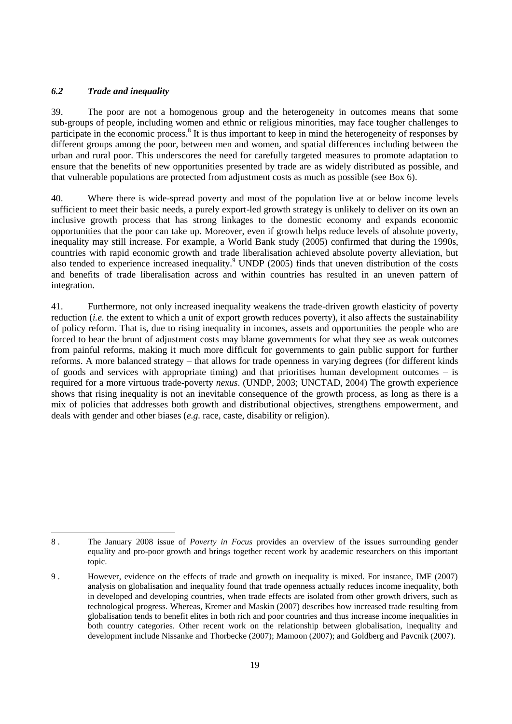# *6.2 Trade and inequality*

l

39. The poor are not a homogenous group and the heterogeneity in outcomes means that some sub-groups of people, including women and ethnic or religious minorities, may face tougher challenges to participate in the economic process.<sup>8</sup> It is thus important to keep in mind the heterogeneity of responses by different groups among the poor, between men and women, and spatial differences including between the urban and rural poor. This underscores the need for carefully targeted measures to promote adaptation to ensure that the benefits of new opportunities presented by trade are as widely distributed as possible, and that vulnerable populations are protected from adjustment costs as much as possible (see Box 6).

40. Where there is wide-spread poverty and most of the population live at or below income levels sufficient to meet their basic needs, a purely export-led growth strategy is unlikely to deliver on its own an inclusive growth process that has strong linkages to the domestic economy and expands economic opportunities that the poor can take up. Moreover, even if growth helps reduce levels of absolute poverty, inequality may still increase. For example, a World Bank study (2005) confirmed that during the 1990s, countries with rapid economic growth and trade liberalisation achieved absolute poverty alleviation, but also tended to experience increased inequality.<sup>9</sup> UNDP (2005) finds that uneven distribution of the costs and benefits of trade liberalisation across and within countries has resulted in an uneven pattern of integration.

41. Furthermore, not only increased inequality weakens the trade-driven growth elasticity of poverty reduction (*i.e.* the extent to which a unit of export growth reduces poverty), it also affects the sustainability of policy reform. That is, due to rising inequality in incomes, assets and opportunities the people who are forced to bear the brunt of adjustment costs may blame governments for what they see as weak outcomes from painful reforms, making it much more difficult for governments to gain public support for further reforms. A more balanced strategy – that allows for trade openness in varying degrees (for different kinds of goods and services with appropriate timing) and that prioritises human development outcomes – is required for a more virtuous trade-poverty *nexus*. (UNDP, 2003; UNCTAD, 2004) The growth experience shows that rising inequality is not an inevitable consequence of the growth process, as long as there is a mix of policies that addresses both growth and distributional objectives, strengthens empowerment, and deals with gender and other biases (*e.g.* race, caste, disability or religion).

<sup>8</sup> . The January 2008 issue of *Poverty in Focus* provides an overview of the issues surrounding gender equality and pro-poor growth and brings together recent work by academic researchers on this important topic.

<sup>9</sup> . However, evidence on the effects of trade and growth on inequality is mixed. For instance, IMF (2007) analysis on globalisation and inequality found that trade openness actually reduces income inequality, both in developed and developing countries, when trade effects are isolated from other growth drivers, such as technological progress. Whereas, Kremer and Maskin (2007) describes how increased trade resulting from globalisation tends to benefit elites in both rich and poor countries and thus increase income inequalities in both country categories. Other recent work on the relationship between globalisation, inequality and development include Nissanke and Thorbecke (2007); Mamoon (2007); and Goldberg and Pavcnik (2007).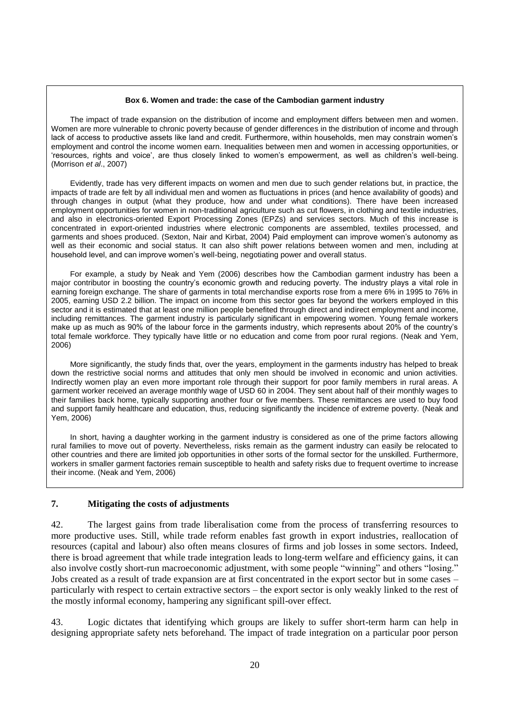#### **Box 6. Women and trade: the case of the Cambodian garment industry**

The impact of trade expansion on the distribution of income and employment differs between men and women. Women are more vulnerable to chronic poverty because of gender differences in the distribution of income and through lack of access to productive assets like land and credit. Furthermore, within households, men may constrain women"s employment and control the income women earn. Inequalities between men and women in accessing opportunities, or 'resources, rights and voice', are thus closely linked to women's empowerment, as well as children's well-being. (Morrison *et al*., 2007)

Evidently, trade has very different impacts on women and men due to such gender relations but, in practice, the impacts of trade are felt by all individual men and women as fluctuations in prices (and hence availability of goods) and through changes in output (what they produce, how and under what conditions). There have been increased employment opportunities for women in non-traditional agriculture such as cut flowers, in clothing and textile industries, and also in electronics-oriented Export Processing Zones (EPZs) and services sectors. Much of this increase is concentrated in export-oriented industries where electronic components are assembled, textiles processed, and garments and shoes produced. (Sexton, Nair and Kirbat, 2004) Paid employment can improve women"s autonomy as well as their economic and social status. It can also shift power relations between women and men, including at household level, and can improve women"s well-being, negotiating power and overall status.

For example, a study by Neak and Yem (2006) describes how the Cambodian garment industry has been a major contributor in boosting the country"s economic growth and reducing poverty. The industry plays a vital role in earning foreign exchange. The share of garments in total merchandise exports rose from a mere 6% in 1995 to 76% in 2005, earning USD 2.2 billion. The impact on income from this sector goes far beyond the workers employed in this sector and it is estimated that at least one million people benefited through direct and indirect employment and income, including remittances. The garment industry is particularly significant in empowering women. Young female workers make up as much as 90% of the labour force in the garments industry, which represents about 20% of the country"s total female workforce. They typically have little or no education and come from poor rural regions. (Neak and Yem, 2006)

More significantly, the study finds that, over the years, employment in the garments industry has helped to break down the restrictive social norms and attitudes that only men should be involved in economic and union activities. Indirectly women play an even more important role through their support for poor family members in rural areas. A garment worker received an average monthly wage of USD 60 in 2004. They sent about half of their monthly wages to their families back home, typically supporting another four or five members. These remittances are used to buy food and support family healthcare and education, thus, reducing significantly the incidence of extreme poverty. (Neak and Yem, 2006)

In short, having a daughter working in the garment industry is considered as one of the prime factors allowing rural families to move out of poverty. Nevertheless, risks remain as the garment industry can easily be relocated to other countries and there are limited job opportunities in other sorts of the formal sector for the unskilled. Furthermore, workers in smaller garment factories remain susceptible to health and safety risks due to frequent overtime to increase their income. (Neak and Yem, 2006)

# **7. Mitigating the costs of adjustments**

42. The largest gains from trade liberalisation come from the process of transferring resources to more productive uses. Still, while trade reform enables fast growth in export industries, reallocation of resources (capital and labour) also often means closures of firms and job losses in some sectors. Indeed, there is broad agreement that while trade integration leads to long-term welfare and efficiency gains, it can also involve costly short-run macroeconomic adjustment, with some people "winning" and others "losing." Jobs created as a result of trade expansion are at first concentrated in the export sector but in some cases – particularly with respect to certain extractive sectors – the export sector is only weakly linked to the rest of the mostly informal economy, hampering any significant spill-over effect.

43. Logic dictates that identifying which groups are likely to suffer short-term harm can help in designing appropriate safety nets beforehand. The impact of trade integration on a particular poor person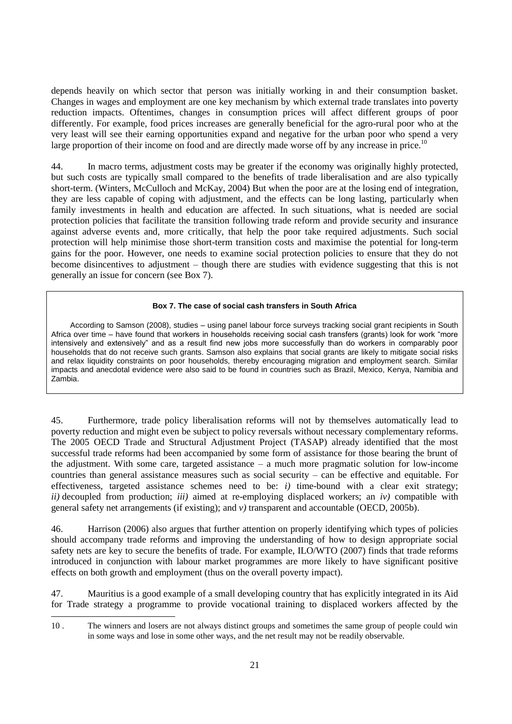depends heavily on which sector that person was initially working in and their consumption basket. Changes in wages and employment are one key mechanism by which external trade translates into poverty reduction impacts. Oftentimes, changes in consumption prices will affect different groups of poor differently. For example, food prices increases are generally beneficial for the agro-rural poor who at the very least will see their earning opportunities expand and negative for the urban poor who spend a very large proportion of their income on food and are directly made worse off by any increase in price.<sup>10</sup>

44. In macro terms, adjustment costs may be greater if the economy was originally highly protected, but such costs are typically small compared to the benefits of trade liberalisation and are also typically short-term. (Winters, McCulloch and McKay, 2004) But when the poor are at the losing end of integration, they are less capable of coping with adjustment, and the effects can be long lasting, particularly when family investments in health and education are affected. In such situations, what is needed are social protection policies that facilitate the transition following trade reform and provide security and insurance against adverse events and, more critically, that help the poor take required adjustments. Such social protection will help minimise those short-term transition costs and maximise the potential for long-term gains for the poor. However, one needs to examine social protection policies to ensure that they do not become disincentives to adjustment – though there are studies with evidence suggesting that this is not generally an issue for concern (see Box 7).

#### **Box 7. The case of social cash transfers in South Africa**

According to Samson (2008), studies – using panel labour force surveys tracking social grant recipients in South Africa over time – have found that workers in households receiving social cash transfers (grants) look for work "more intensively and extensively" and as a result find new jobs more successfully than do workers in comparably poor households that do not receive such grants. Samson also explains that social grants are likely to mitigate social risks and relax liquidity constraints on poor households, thereby encouraging migration and employment search. Similar impacts and anecdotal evidence were also said to be found in countries such as Brazil, Mexico, Kenya, Namibia and Zambia.

45. Furthermore, trade policy liberalisation reforms will not by themselves automatically lead to poverty reduction and might even be subject to policy reversals without necessary complementary reforms. The 2005 OECD Trade and Structural Adjustment Project (TASAP) already identified that the most successful trade reforms had been accompanied by some form of assistance for those bearing the brunt of the adjustment. With some care, targeted assistance – a much more pragmatic solution for low-income countries than general assistance measures such as social security – can be effective and equitable. For effectiveness, targeted assistance schemes need to be: *i)* time-bound with a clear exit strategy; *ii)* decoupled from production; *iii)* aimed at re-employing displaced workers; an *iv)* compatible with general safety net arrangements (if existing); and *v)* transparent and accountable (OECD, 2005b).

46. Harrison (2006) also argues that further attention on properly identifying which types of policies should accompany trade reforms and improving the understanding of how to design appropriate social safety nets are key to secure the benefits of trade. For example, ILO/WTO (2007) finds that trade reforms introduced in conjunction with labour market programmes are more likely to have significant positive effects on both growth and employment (thus on the overall poverty impact).

47. Mauritius is a good example of a small developing country that has explicitly integrated in its Aid for Trade strategy a programme to provide vocational training to displaced workers affected by the

l

<sup>10</sup> . The winners and losers are not always distinct groups and sometimes the same group of people could win in some ways and lose in some other ways, and the net result may not be readily observable.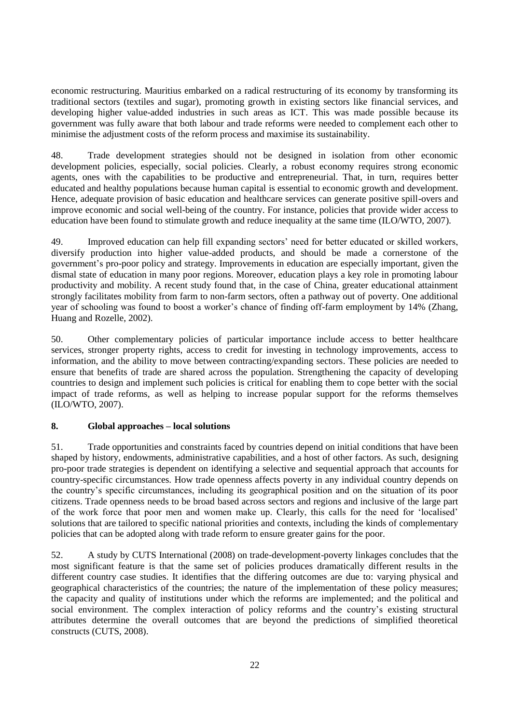economic restructuring. Mauritius embarked on a radical restructuring of its economy by transforming its traditional sectors (textiles and sugar), promoting growth in existing sectors like financial services, and developing higher value-added industries in such areas as ICT. This was made possible because its government was fully aware that both labour and trade reforms were needed to complement each other to minimise the adjustment costs of the reform process and maximise its sustainability.

48. Trade development strategies should not be designed in isolation from other economic development policies, especially, social policies. Clearly, a robust economy requires strong economic agents, ones with the capabilities to be productive and entrepreneurial. That, in turn, requires better educated and healthy populations because human capital is essential to economic growth and development. Hence, adequate provision of basic education and healthcare services can generate positive spill-overs and improve economic and social well-being of the country. For instance, policies that provide wider access to education have been found to stimulate growth and reduce inequality at the same time (ILO/WTO, 2007).

49. Improved education can help fill expanding sectors" need for better educated or skilled workers, diversify production into higher value-added products, and should be made a cornerstone of the government"s pro-poor policy and strategy. Improvements in education are especially important, given the dismal state of education in many poor regions. Moreover, education plays a key role in promoting labour productivity and mobility. A recent study found that, in the case of China, greater educational attainment strongly facilitates mobility from farm to non-farm sectors, often a pathway out of poverty. One additional year of schooling was found to boost a worker's chance of finding off-farm employment by 14% (Zhang, Huang and Rozelle, 2002).

50. Other complementary policies of particular importance include access to better healthcare services, stronger property rights, access to credit for investing in technology improvements, access to information, and the ability to move between contracting/expanding sectors. These policies are needed to ensure that benefits of trade are shared across the population. Strengthening the capacity of developing countries to design and implement such policies is critical for enabling them to cope better with the social impact of trade reforms, as well as helping to increase popular support for the reforms themselves (ILO/WTO, 2007).

# **8. Global approaches – local solutions**

51. Trade opportunities and constraints faced by countries depend on initial conditions that have been shaped by history, endowments, administrative capabilities, and a host of other factors. As such, designing pro-poor trade strategies is dependent on identifying a selective and sequential approach that accounts for country-specific circumstances. How trade openness affects poverty in any individual country depends on the country"s specific circumstances, including its geographical position and on the situation of its poor citizens. Trade openness needs to be broad based across sectors and regions and inclusive of the large part of the work force that poor men and women make up. Clearly, this calls for the need for "localised" solutions that are tailored to specific national priorities and contexts, including the kinds of complementary policies that can be adopted along with trade reform to ensure greater gains for the poor.

52. A study by CUTS International (2008) on trade-development-poverty linkages concludes that the most significant feature is that the same set of policies produces dramatically different results in the different country case studies. It identifies that the differing outcomes are due to: varying physical and geographical characteristics of the countries; the nature of the implementation of these policy measures; the capacity and quality of institutions under which the reforms are implemented; and the political and social environment. The complex interaction of policy reforms and the country's existing structural attributes determine the overall outcomes that are beyond the predictions of simplified theoretical constructs (CUTS, 2008).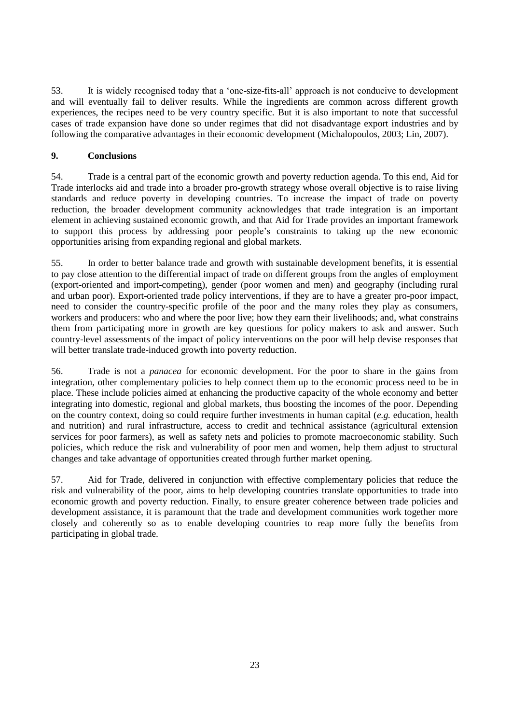53. It is widely recognised today that a "one-size-fits-all" approach is not conducive to development and will eventually fail to deliver results. While the ingredients are common across different growth experiences, the recipes need to be very country specific. But it is also important to note that successful cases of trade expansion have done so under regimes that did not disadvantage export industries and by following the comparative advantages in their economic development (Michalopoulos, 2003; Lin, 2007).

# **9. Conclusions**

54. Trade is a central part of the economic growth and poverty reduction agenda. To this end, Aid for Trade interlocks aid and trade into a broader pro-growth strategy whose overall objective is to raise living standards and reduce poverty in developing countries. To increase the impact of trade on poverty reduction, the broader development community acknowledges that trade integration is an important element in achieving sustained economic growth, and that Aid for Trade provides an important framework to support this process by addressing poor people"s constraints to taking up the new economic opportunities arising from expanding regional and global markets.

55. In order to better balance trade and growth with sustainable development benefits, it is essential to pay close attention to the differential impact of trade on different groups from the angles of employment (export-oriented and import-competing), gender (poor women and men) and geography (including rural and urban poor). Export-oriented trade policy interventions, if they are to have a greater pro-poor impact, need to consider the country-specific profile of the poor and the many roles they play as consumers, workers and producers: who and where the poor live; how they earn their livelihoods; and, what constrains them from participating more in growth are key questions for policy makers to ask and answer. Such country-level assessments of the impact of policy interventions on the poor will help devise responses that will better translate trade-induced growth into poverty reduction.

56. Trade is not a *panacea* for economic development. For the poor to share in the gains from integration, other complementary policies to help connect them up to the economic process need to be in place. These include policies aimed at enhancing the productive capacity of the whole economy and better integrating into domestic, regional and global markets, thus boosting the incomes of the poor. Depending on the country context, doing so could require further investments in human capital (*e.g.* education, health and nutrition) and rural infrastructure, access to credit and technical assistance (agricultural extension services for poor farmers), as well as safety nets and policies to promote macroeconomic stability. Such policies, which reduce the risk and vulnerability of poor men and women, help them adjust to structural changes and take advantage of opportunities created through further market opening.

57. Aid for Trade, delivered in conjunction with effective complementary policies that reduce the risk and vulnerability of the poor, aims to help developing countries translate opportunities to trade into economic growth and poverty reduction. Finally, to ensure greater coherence between trade policies and development assistance, it is paramount that the trade and development communities work together more closely and coherently so as to enable developing countries to reap more fully the benefits from participating in global trade.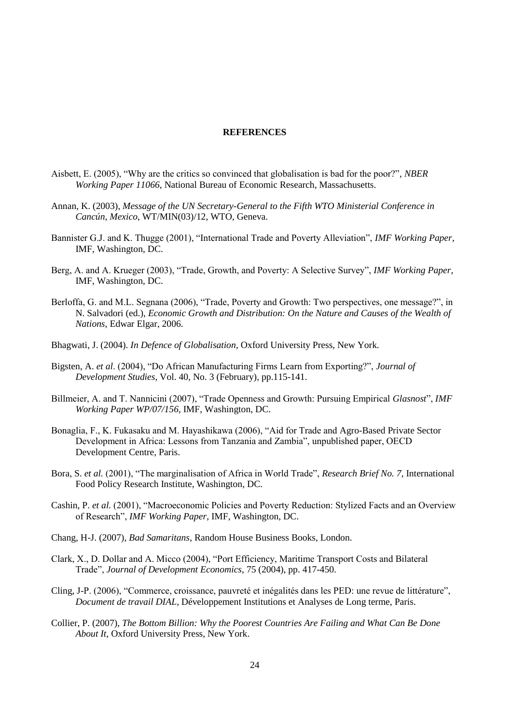#### **REFERENCES**

- Aisbett, E. (2005), "Why are the critics so convinced that globalisation is bad for the poor?", *NBER Working Paper 11066*, National Bureau of Economic Research, Massachusetts.
- Annan, K. (2003), *Message of the UN Secretary-General to the Fifth WTO Ministerial Conference in Cancún, Mexico*, WT/MIN(03)/12, WTO, Geneva.
- Bannister G.J. and K. Thugge (2001), "International Trade and Poverty Alleviation", *IMF Working Paper*, IMF, Washington, DC.
- Berg, A. and A. Krueger (2003), "Trade, Growth, and Poverty: A Selective Survey", *IMF Working Paper*, IMF, Washington, DC.
- Berloffa, G. and M.L. Segnana (2006), "Trade, Poverty and Growth: Two perspectives, one message?", in N. Salvadori (ed.), *Economic Growth and Distribution: On the Nature and Causes of the Wealth of Nations*, Edwar Elgar, 2006.
- Bhagwati, J. (2004). *In Defence of Globalisation*, Oxford University Press, New York.
- Bigsten, A. *et al*. (2004), "Do African Manufacturing Firms Learn from Exporting?", *Journal of Development Studies*, Vol. 40, No. 3 (February), pp.115-141.
- Billmeier, A. and T. Nannicini (2007), "Trade Openness and Growth: Pursuing Empirical *Glasnost*", *IMF Working Paper WP/07/156*, IMF, Washington, DC.
- Bonaglia, F., K. Fukasaku and M. Hayashikawa (2006), "Aid for Trade and Agro-Based Private Sector Development in Africa: Lessons from Tanzania and Zambia", unpublished paper, OECD Development Centre, Paris.
- Bora, S. *et al.* (2001), "The marginalisation of Africa in World Trade", *Research Brief No. 7*, International Food Policy Research Institute, Washington, DC.
- Cashin, P. *et al.* (2001), "Macroeconomic Policies and Poverty Reduction: Stylized Facts and an Overview of Research", *IMF Working Paper*, IMF, Washington, DC.
- Chang, H-J. (2007), *Bad Samaritans*, Random House Business Books, London.
- Clark, X., D. Dollar and A. Micco (2004), "Port Efficiency, Maritime Transport Costs and Bilateral Trade", *Journal of Development Economics*, 75 (2004), pp. 417-450.
- Cling, J-P. (2006), "Commerce, croissance, pauvreté et inégalités dans les PED: une revue de littérature", *Document de travail DIAL*, Développement Institutions et Analyses de Long terme, Paris.
- Collier, P. (2007), *The Bottom Billion: Why the Poorest Countries Are Failing and What Can Be Done About It*, Oxford University Press, New York.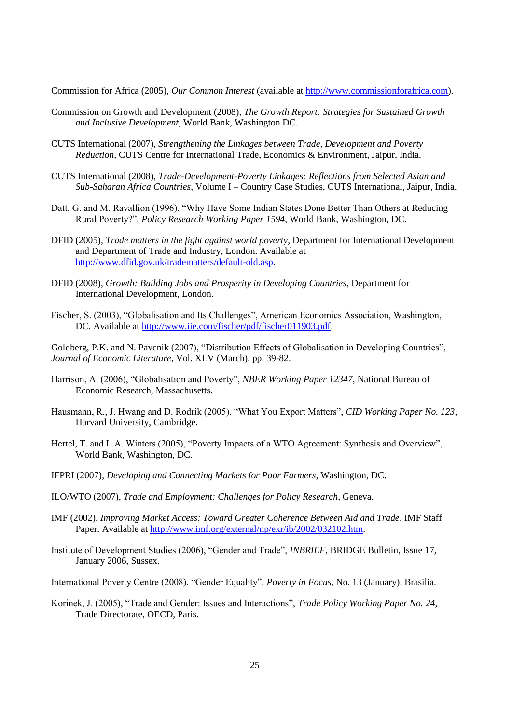Commission for Africa (2005), *Our Common Interest* (available at [http://www.commissionforafrica.com\)](http://www.commissionforafrica.com/).

- Commission on Growth and Development (2008), *The Growth Report: Strategies for Sustained Growth and Inclusive Development*, World Bank, Washington DC.
- CUTS International (2007), *Strengthening the Linkages between Trade, Development and Poverty Reduction*, CUTS Centre for International Trade, Economics & Environment, Jaipur, India.
- CUTS International (2008), *Trade-Development-Poverty Linkages: Reflections from Selected Asian and Sub-Saharan Africa Countries*, Volume I – Country Case Studies, CUTS International, Jaipur, India.
- Datt, G. and M. Ravallion (1996), "Why Have Some Indian States Done Better Than Others at Reducing Rural Poverty?", *Policy Research Working Paper 1594*, World Bank, Washington, DC.
- DFID (2005), *Trade matters in the fight against world poverty*, Department for International Development and Department of Trade and Industry, London. Available at [http://www.dfid.gov.uk/tradematters/default-old.asp.](http://www.dfid.gov.uk/tradematters/default-old.asp)
- DFID (2008), *Growth: Building Jobs and Prosperity in Developing Countries*, Department for International Development, London.
- Fischer, S. (2003), "Globalisation and Its Challenges", American Economics Association, Washington, DC. Available at [http://www.iie.com/fischer/pdf/fischer011903.pdf.](http://www.iie.com/fischer/pdf/fischer011903.pdf)

Goldberg, P.K. and N. Pavcnik (2007), "Distribution Effects of Globalisation in Developing Countries", *Journal of Economic Literature*, Vol. XLV (March), pp. 39-82.

- Harrison, A. (2006), "Globalisation and Poverty", *NBER Working Paper 12347*, National Bureau of Economic Research, Massachusetts.
- Hausmann, R., J. Hwang and D. Rodrik (2005), "What You Export Matters", *CID Working Paper No. 123*, Harvard University, Cambridge.
- Hertel, T. and L.A. Winters (2005), "Poverty Impacts of a WTO Agreement: Synthesis and Overview", World Bank, Washington, DC.
- IFPRI (2007), *Developing and Connecting Markets for Poor Farmers*, Washington, DC.
- ILO/WTO (2007), *Trade and Employment: Challenges for Policy Research*, Geneva.
- IMF (2002), *Improving Market Access: Toward Greater Coherence Between Aid and Trade*, IMF Staff Paper. Available at [http://www.imf.org/external/np/exr/ib/2002/032102.htm.](http://www.imf.org/external/np/exr/ib/2002/032102.htm)
- Institute of Development Studies (2006), "Gender and Trade", *INBRIEF*, BRIDGE Bulletin, Issue 17, January 2006, Sussex.
- International Poverty Centre (2008), "Gender Equality", *Poverty in Focus*, No. 13 (January), Brasilia.
- Korinek, J. (2005), "Trade and Gender: Issues and Interactions", *Trade Policy Working Paper No. 24*, Trade Directorate, OECD, Paris.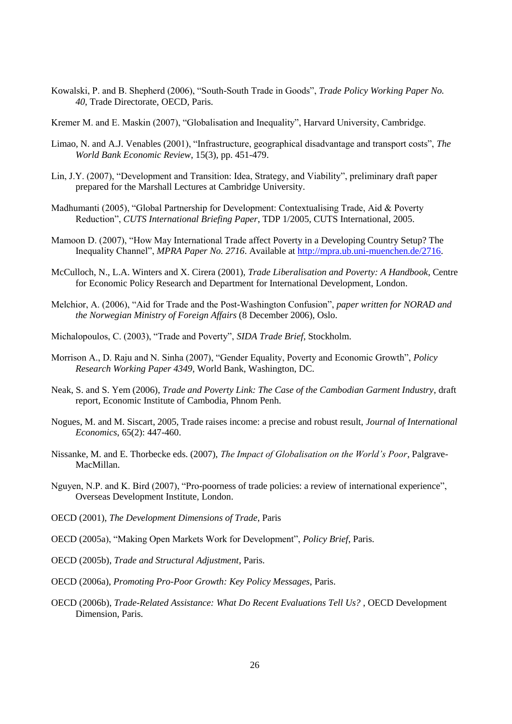Kowalski, P. and B. Shepherd (2006), "South-South Trade in Goods", *Trade Policy Working Paper No. 40*, Trade Directorate, OECD, Paris.

Kremer M. and E. Maskin (2007), "Globalisation and Inequality", Harvard University, Cambridge.

- Limao, N. and A.J. Venables (2001), "Infrastructure, geographical disadvantage and transport costs", *The World Bank Economic Review*, 15(3), pp. 451-479.
- Lin, J.Y. (2007), "Development and Transition: Idea, Strategy, and Viability", preliminary draft paper prepared for the Marshall Lectures at Cambridge University.
- Madhumanti (2005), "Global Partnership for Development: Contextualising Trade, Aid & Poverty Reduction", *CUTS International Briefing Paper*, TDP 1/2005, CUTS International, 2005.
- Mamoon D. (2007), "How May International Trade affect Poverty in a Developing Country Setup? The Inequality Channel", *MPRA Paper No. 2716*. Available at [http://mpra.ub.uni-muenchen.de/2716.](http://mpra.ub.uni-muenchen.de/2716)
- McCulloch, N., L.A. Winters and X. Cirera (2001), *Trade Liberalisation and Poverty: A Handbook*, Centre for Economic Policy Research and Department for International Development, London.
- Melchior, A. (2006), "Aid for Trade and the Post-Washington Confusion", *paper written for NORAD and the Norwegian Ministry of Foreign Affairs* (8 December 2006), Oslo.
- Michalopoulos, C. (2003), "Trade and Poverty", *SIDA Trade Brief*, Stockholm.
- Morrison A., D. Raju and N. Sinha (2007), "Gender Equality, Poverty and Economic Growth", *Policy Research Working Paper 4349*, World Bank, Washington, DC.
- Neak, S. and S. Yem (2006), *Trade and Poverty Link: The Case of the Cambodian Garment Industry*, draft report, Economic Institute of Cambodia, Phnom Penh.
- Nogues, M. and M. Siscart, 2005, Trade raises income: a precise and robust result, *Journal of International Economics*, 65(2): 447-460.
- Nissanke, M. and E. Thorbecke eds. (2007), *The Impact of Globalisation on the World's Poor*, Palgrave-MacMillan.
- Nguyen, N.P. and K. Bird (2007), "Pro-poorness of trade policies: a review of international experience", Overseas Development Institute, London.
- OECD (2001), *The Development Dimensions of Trade*, Paris
- OECD (2005a), "Making Open Markets Work for Development", *Policy Brief*, Paris.
- OECD (2005b), *Trade and Structural Adjustment*, Paris.
- OECD (2006a), *Promoting Pro-Poor Growth: Key Policy Messages*, Paris.
- OECD (2006b), *Trade-Related Assistance: What Do Recent Evaluations Tell Us?* , OECD Development Dimension, Paris.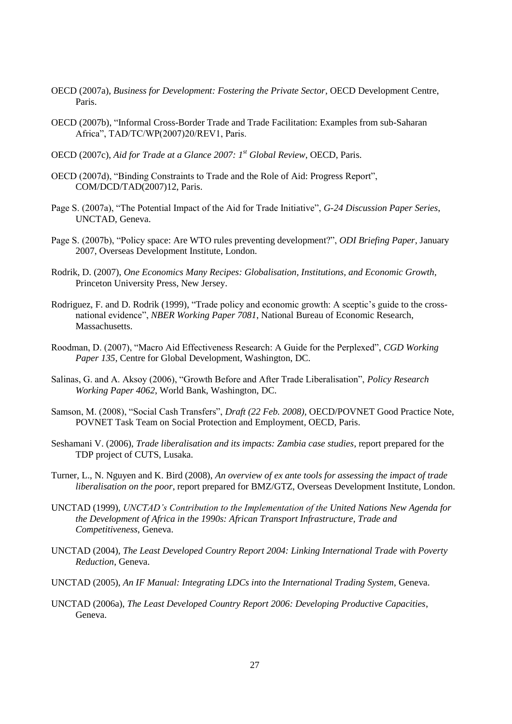- OECD (2007a), *Business for Development: Fostering the Private Sector*, OECD Development Centre, Paris.
- OECD (2007b), "Informal Cross-Border Trade and Trade Facilitation: Examples from sub-Saharan Africa", TAD/TC/WP(2007)20/REV1, Paris.
- OECD (2007c), *Aid for Trade at a Glance 2007: 1st Global Review*, OECD, Paris.
- OECD (2007d), "Binding Constraints to Trade and the Role of Aid: Progress Report", COM/DCD/TAD(2007)12, Paris.
- Page S. (2007a), "The Potential Impact of the Aid for Trade Initiative", *G-24 Discussion Paper Series*, UNCTAD, Geneva.
- Page S. (2007b), "Policy space: Are WTO rules preventing development?", *ODI Briefing Paper*, January 2007, Overseas Development Institute, London.
- Rodrik, D. (2007), *One Economics Many Recipes: Globalisation, Institutions, and Economic Growth*, Princeton University Press, New Jersey.
- Rodriguez, F. and D. Rodrik (1999), "Trade policy and economic growth: A sceptic's guide to the crossnational evidence", *NBER Working Paper 7081*, National Bureau of Economic Research, **Massachusetts**
- Roodman, D. (2007), "Macro Aid Effectiveness Research: A Guide for the Perplexed", *CGD Working Paper 135*, Centre for Global Development, Washington, DC.
- Salinas, G. and A. Aksoy (2006), "Growth Before and After Trade Liberalisation", *Policy Research Working Paper 4062*, World Bank, Washington, DC.
- Samson, M. (2008), "Social Cash Transfers", *Draft (22 Feb. 2008)*, OECD/POVNET Good Practice Note, POVNET Task Team on Social Protection and Employment, OECD, Paris.
- Seshamani V. (2006), *Trade liberalisation and its impacts: Zambia case studies*, report prepared for the TDP project of CUTS, Lusaka.
- Turner, L., N. Nguyen and K. Bird (2008), *An overview of ex ante tools for assessing the impact of trade liberalisation on the poor*, report prepared for BMZ/GTZ, Overseas Development Institute, London.
- UNCTAD (1999), *UNCTAD's Contribution to the Implementation of the United Nations New Agenda for the Development of Africa in the 1990s: African Transport Infrastructure, Trade and Competitiveness*, Geneva.
- UNCTAD (2004), *The Least Developed Country Report 2004: Linking International Trade with Poverty Reduction*, Geneva.
- UNCTAD (2005), *An IF Manual: Integrating LDCs into the International Trading System*, Geneva.
- UNCTAD (2006a), *The Least Developed Country Report 2006: Developing Productive Capacities*, Geneva.